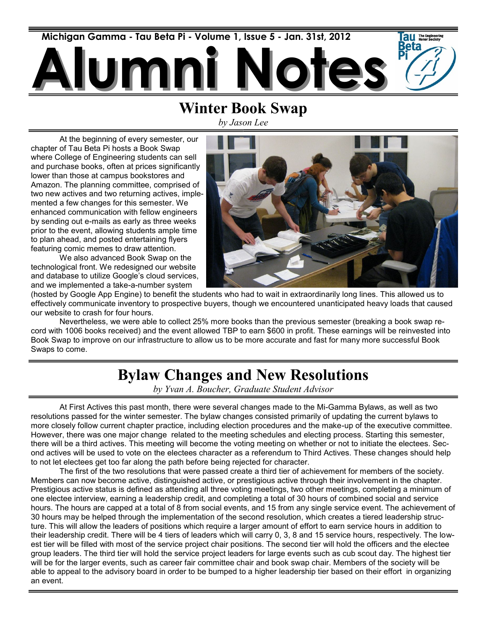

## **Winter Book Swap**

*by Jason Lee*

At the beginning of every semester, our chapter of Tau Beta Pi hosts a Book Swap where College of Engineering students can sell and purchase books, often at prices significantly lower than those at campus bookstores and Amazon. The planning committee, comprised of two new actives and two returning actives, implemented a few changes for this semester. We enhanced communication with fellow engineers by sending out e-mails as early as three weeks prior to the event, allowing students ample time to plan ahead, and posted entertaining flyers featuring comic memes to draw attention.

We also advanced Book Swap on the technological front. We redesigned our website and database to utilize Google's cloud services, and we implemented a take-a-number system



(hosted by Google App Engine) to benefit the students who had to wait in extraordinarily long lines. This allowed us to effectively communicate inventory to prospective buyers, though we encountered unanticipated heavy loads that caused our website to crash for four hours.

Nevertheless, we were able to collect 25% more books than the previous semester (breaking a book swap record with 1006 books received) and the event allowed TBP to earn \$600 in profit. These earnings will be reinvested into Book Swap to improve on our infrastructure to allow us to be more accurate and fast for many more successful Book Swaps to come.

## **Bylaw Changes and New Resolutions**

*by Yvan A. Boucher, Graduate Student Advisor*

At First Actives this past month, there were several changes made to the Mi-Gamma Bylaws, as well as two resolutions passed for the winter semester. The bylaw changes consisted primarily of updating the current bylaws to more closely follow current chapter practice, including election procedures and the make-up of the executive committee. However, there was one major change related to the meeting schedules and electing process. Starting this semester, there will be a third actives. This meeting will become the voting meeting on whether or not to initiate the electees. Second actives will be used to vote on the electees character as a referendum to Third Actives. These changes should help to not let electees get too far along the path before being rejected for character.

The first of the two resolutions that were passed create a third tier of achievement for members of the society. Members can now become active, distinguished active, or prestigious active through their involvement in the chapter. Prestigious active status is defined as attending all three voting meetings, two other meetings, completing a minimum of one electee interview, earning a leadership credit, and completing a total of 30 hours of combined social and service hours. The hours are capped at a total of 8 from social events, and 15 from any single service event. The achievement of 30 hours may be helped through the implementation of the second resolution, which creates a tiered leadership structure. This will allow the leaders of positions which require a larger amount of effort to earn service hours in addition to their leadership credit. There will be 4 tiers of leaders which will carry 0, 3, 8 and 15 service hours, respectively. The lowest tier will be filled with most of the service project chair positions. The second tier will hold the officers and the electee group leaders. The third tier will hold the service project leaders for large events such as cub scout day. The highest tier will be for the larger events, such as career fair committee chair and book swap chair. Members of the society will be able to appeal to the advisory board in order to be bumped to a higher leadership tier based on their effort in organizing an event.